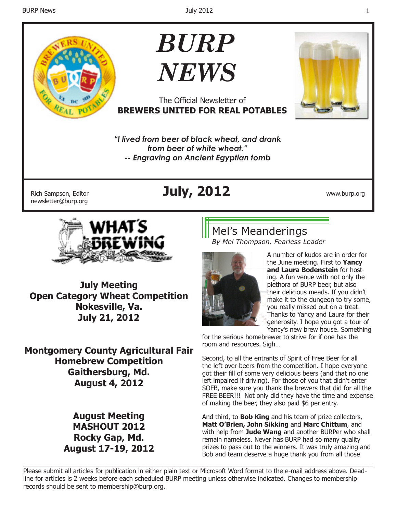

# *BURP NEWS*



*"I lived from beer of black wheat, and drank from beer of white wheat."*

The Official Newsletter of

*-- Engraving on Ancient Egyptian tomb*

newsletter@burp.org

## Rich Sampson, Editor **July, 2012** www.burp.org



**July Meeting Open Category Wheat Competition Nokesville, Va. July 21, 2012**

**Montgomery County Agricultural Fair Homebrew Competition Gaithersburg, Md. August 4, 2012**

> **August Meeting MASHOUT 2012 Rocky Gap, Md. August 17-19, 2012**

## Mel's Meanderings

*By Mel Thompson, Fearless Leader*



A number of kudos are in order for the June meeting. First to **Yancy and Laura Bodenstein** for hosting. A fun venue with not only the plethora of BURP beer, but also their delicious meads. If you didn't make it to the dungeon to try some, you really missed out on a treat. Thanks to Yancy and Laura for their generosity. I hope you got a tour of Yancy's new brew house. Something

for the serious homebrewer to strive for if one has the room and resources. Sigh…

Second, to all the entrants of Spirit of Free Beer for all the left over beers from the competition. I hope everyone got their fill of some very delicious beers (and that no one left impaired if driving). For those of you that didn't enter SOFB, make sure you thank the brewers that did for all the FREE BEER!!! Not only did they have the time and expense of making the beer, they also paid \$6 per entry.

And third, to **Bob King** and his team of prize collectors, **Matt O'Brien, John Sikking** and **Marc Chittum**, and with help from **Jude Wang** and another BURPer who shall remain nameless. Never has BURP had so many quality prizes to pass out to the winners. It was truly amazing and Bob and team deserve a huge thank you from all those

\_\_\_\_\_\_\_\_\_\_\_\_\_\_\_\_\_\_\_\_\_\_\_\_\_\_\_\_\_\_\_\_\_\_\_\_\_\_\_\_\_\_\_\_\_\_\_\_\_\_\_\_\_\_\_\_\_\_\_\_\_\_\_\_\_\_\_\_\_\_\_\_\_\_\_\_\_\_\_\_\_\_\_\_\_\_\_\_\_\_ Please submit all articles for publication in either plain text or Microsoft Word format to the e-mail address above. Deadline for articles is 2 weeks before each scheduled BURP meeting unless otherwise indicated. Changes to membership records should be sent to membership@burp.org.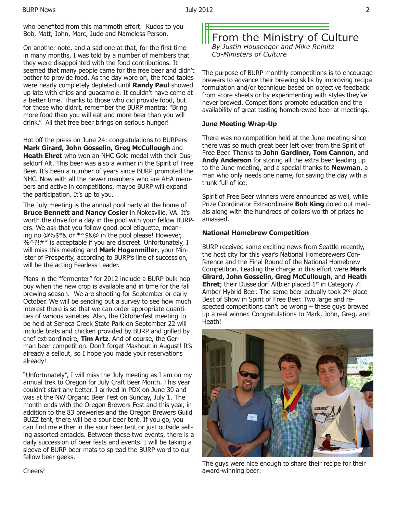who benefited from this mammoth effort. Kudos to you Bob, Matt, John, Marc, Jude and Nameless Person.

On another note, and a sad one at that, for the first time in many months, I was told by a number of members that they were disappointed with the food contributions. It seemed that many people came for the free beer and didn't bother to provide food. As the day wore on, the food tables were nearly completely depleted until **Randy Paul** showed up late with chips and guacamole. It couldn't have come at a better time. Thanks to those who did provide food, but for those who didn't, remember the BURP mantra: "Bring more food than you will eat and more beer than you will drink." All that free beer brings on serious hunger!

Hot off the press on June 24: congratulations to BURPers **Mark Girard, John Gosselin, Greg McCullough** and **Heath Ehret** who won an NHC Gold medal with their Dusseldorf Alt. This beer was also a winner in the Spirit of Free Beer. It's been a number of years since BURP promoted the NHC. Now with all the newer members who are AHA members and active in competitions, maybe BURP will expand the participation. It's up to you.

The July meeting is the annual pool party at the home of **Bruce Bennett and Nancy Cosier** in Nokesville, VA. It's worth the drive for a day in the pool with your fellow BURPers. We ask that you follow good pool etiquette, meaning no @%\$\*& or \*^\$&@ in the pool please! However,  $%^{\sim}$ ?! $#$ \* is acceptable if you are discreet. Unfortunately, I will miss this meeting and **Mark Hogenmiller**, your Minister of Prosperity, according to BURP's line of succession, will be the acting Fearless Leader.

Plans in the "fermenter" for 2012 include a BURP bulk hop buy when the new crop is available and in time for the fall brewing season. We are shooting for September or early October. We will be sending out a survey to see how much interest there is so that we can order appropriate quantities of various varieties. Also, the Oktoberfest meeting to be held at Seneca Creek State Park on September 22 will include brats and chicken provided by BURP and grilled by chef extraordinaire, **Tim Artz**. And of course, the German beer competition. Don't forget Mashout in August! It's already a sellout, so I hope you made your reservations already!

"Unfortunately", I will miss the July meeting as I am on my annual trek to Oregon for July Craft Beer Month. This year couldn't start any better. I arrived in PDX on June 30 and was at the NW Organic Beer Fest on Sunday, July 1. The month ends with the Oregon Brewers Fest and this year, in addition to the 83 breweries and the Oregon Brewers Guild BUZZ tent, there will be a sour beer tent. If you go, you can find me either in the sour beer tent or just outside selling assorted antacids. Between these two events, there is a daily succession of beer fests and events. I will be taking a sleeve of BURP beer mats to spread the BURP word to our fellow beer geeks.

#### From the Ministry of Culture *By Justin Housenger and Mike Reinitz Co-Ministers of Culture*

The purpose of BURP monthly competitions is to encourage brewers to advance their brewing skills by improving recipe formulation and/or technique based on objective feedback from score sheets or by experimenting with styles they've never brewed. Competitions promote education and the availability of great tasting homebrewed beer at meetings.

#### **June Meeting Wrap-Up**

There was no competition held at the June meeting since there was so much great beer left over from the Spirit of Free Beer. Thanks to **John Gardiner, Tom Cannon**, and **Andy Anderson** for storing all the extra beer leading up to the June meeting, and a special thanks to **Newman**, a man who only needs one name, for saving the day with a trunk-full of ice.

Spirit of Free Beer winners were announced as well, while Prize Coordinator Extraordinaire **Bob King** doled out medals along with the hundreds of dollars worth of prizes he amassed.

#### **National Homebrew Competition**

BURP received some exciting news from Seattle recently, the host city for this year's National Homebrewers Conference and the Final Round of the National Homebrew Competition. Leading the charge in this effort were **Mark Girard, John Gosselin, Greg McCullough**, and **Heath Ehret**; their Dusseldorf Altbier placed  $1<sup>st</sup>$  in Category 7: Amber Hybrid Beer. The same beer actually took  $2<sup>nd</sup>$  place Best of Show in Spirit of Free Beer. Two large and respected competitions can't be wrong – these guys brewed up a real winner. Congratulations to Mark, John, Greg, and Heath!



The guys were nice enough to share their recipe for their award-winning beer: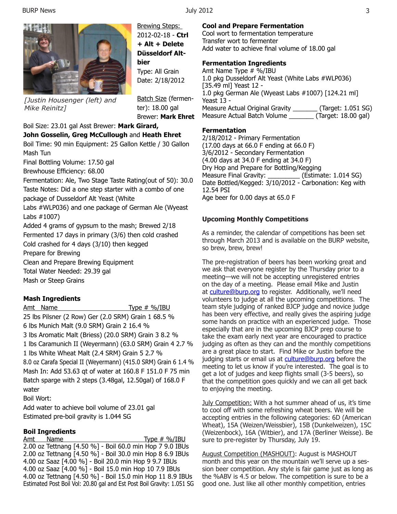

*[Justin Housenger (left) and Mike Reinitz]*

Brewing Steps: 2012-02-18 - **Ctrl + Alt + Delete Düsseldorf Altbier** Type: All Grain

Batch Size (fermenter): 18.00 gal Brewer: **Mark Ehret**

#### Boil Size: 23.01 gal Asst Brewer: **Mark Girard, John Gosselin, Greg McCullough** and **Heath Ehret**

Boil Time: 90 min Equipment: 25 Gallon Kettle / 30 Gallon Mash Tun

Final Bottling Volume: 17.50 gal

Brewhouse Efficiency: 68.00

Fermentation: Ale, Two Stage Taste Rating(out of 50): 30.0 Taste Notes: Did a one step starter with a combo of one package of Dusseldorf Alt Yeast (White

Labs #WLP036) and one package of German Ale (Wyeast Labs #1007)

Added 4 grams of gypsum to the mash; Brewed 2/18 Fermented 17 days in primary (3/6) then cold crashed Cold crashed for 4 days (3/10) then kegged

Prepare for Brewing

Clean and Prepare Brewing Equipment Total Water Needed: 29.39 gal Mash or Steep Grains

#### **Mash Ingredients**

Amt Name Type # %/IBU

25 lbs Pilsner (2 Row) Ger (2.0 SRM) Grain 1 68.5 % 6 lbs Munich Malt (9.0 SRM) Grain 2 16.4 % 3 lbs Aromatic Malt (Briess) (20.0 SRM) Grain 3 8.2 % 1 lbs Caramunich II (Weyermann) (63.0 SRM) Grain 4 2.7 % 1 lbs White Wheat Malt (2.4 SRM) Grain 5 2.7 % 8.0 oz Carafa Special II (Weyermann) (415.0 SRM) Grain 6 1.4 %

Mash In: Add 53.63 qt of water at 160.8 F 151.0 F 75 min Batch sparge with 2 steps (3.48gal, 12.50gal) of 168.0 F water

Boil Wort:

Add water to achieve boil volume of 23.01 gal Estimated pre-boil gravity is 1.044 SG

#### **Boil Ingredients**

Amt Name Type # %/IBU 2.00 oz Tettnang [4.50 %] - Boil 60.0 min Hop 7 9.0 IBUs 2.00 oz Tettnang [4.50 %] - Boil 30.0 min Hop 8 6.9 IBUs 4.00 oz Saaz [4.00 %] - Boil 20.0 min Hop 9 9.7 IBUs 4.00 oz Saaz [4.00 %] - Boil 15.0 min Hop 10 7.9 IBUs 4.00 oz Tettnang [4.50 %] - Boil 15.0 min Hop 11 8.9 IBUs Estimated Post Boil Vol: 20.80 gal and Est Post Boil Gravity: 1.051 SG

#### **Cool and Prepare Fermentation**

Cool wort to fermentation temperature Transfer wort to fermenter Add water to achieve final volume of 18.00 gal

#### **Fermentation Ingredients**

Amt Name Type # %/IBU 1.0 pkg Dusseldorf Alt Yeast (White Labs #WLP036) [35.49 ml] Yeast 12 - 1.0 pkg German Ale (Wyeast Labs #1007) [124.21 ml] Yeast 13 - Measure Actual Original Gravity \_\_\_\_\_\_\_ (Target: 1.051 SG) Measure Actual Batch Volume \_\_\_\_\_\_\_ (Target: 18.00 gal)

#### **Fermentation**

2/18/2012 - Primary Fermentation (17.00 days at 66.0 F ending at 66.0 F) 3/6/2012 - Secondary Fermentation (4.00 days at 34.0 F ending at 34.0 F) Dry Hop and Prepare for Bottling/Kegging Measure Final Gravity: \_\_\_\_\_\_\_\_\_\_ (Estimate: 1.014 SG) Date Bottled/Kegged: 3/10/2012 - Carbonation: Keg with 12.54 PSI Age beer for 0.00 days at 65.0 F

#### **Upcoming Monthly Competitions**

As a reminder, the calendar of competitions has been set through March 2013 and is available on the BURP website, so brew, brew, brew!

The pre-registration of beers has been working great and we ask that everyone register by the Thursday prior to a meeting—we will not be accepting unregistered entries on the day of a meeting. Please email Mike and Justin at culture@burp.org to register. Additionally, we'll need volunteers to judge at all the upcoming competitions. The team style judging of ranked BJCP judge and novice judge has been very effective, and really gives the aspiring judge some hands on practice with an experienced judge. Those especially that are in the upcoming BJCP prep course to take the exam early next year are encouraged to practice judging as often as they can and the monthly competitions are a great place to start. Find Mike or Justin before the judging starts or email us at culture@burp.org before the meeting to let us know if you're interested. The goal is to get a lot of judges and keep flights small (3-5 beers), so that the competition goes quickly and we can all get back to enjoying the meeting.

July Competition: With a hot summer ahead of us, it's time to cool off with some refreshing wheat beers. We will be accepting entries in the following categories: 6D (American Wheat), 15A (Weizen/Weissbier), 15B (Dunkelweizen), 15C (Weizenbock), 16A (Witbier), and 17A (Berliner Weisse). Be sure to pre-register by Thursday, July 19.

August Competition (MASHOUT): August is MASHOUT month and this year on the mountain we'll serve up a session beer competition. Any style is fair game just as long as the %ABV is 4.5 or below. The competition is sure to be a good one. Just like all other monthly competition, entries

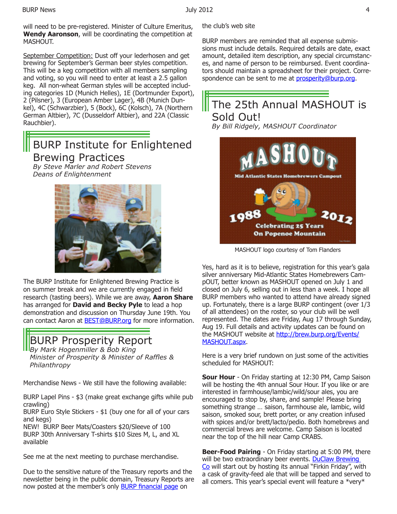will need to be pre-registered. Minister of Culture Emeritus, **Wendy Aaronson**, will be coordinating the competition at MASHOUT.

September Competition: Dust off your lederhosen and get brewing for September's German beer styles competition. This will be a keg competition with all members sampling and voting, so you will need to enter at least a 2.5 gallon keg. All non-wheat German styles will be accepted including categories 1D (Munich Helles), 1E (Dortmunder Export), 2 (Pilsner), 3 (European Amber Lager), 4B (Munich Dunkel), 4C (Schwarzbier), 5 (Bock), 6C (Kolsch), 7A (Northern German Altbier), 7C (Dusseldorf Altbier), and 22A (Classic Rauchbier).

## BURP Institute for Enlightened Brewing Practices

*By Steve Marler and Robert Stevens Deans of Enlightenment* 



The BURP Institute for Enlightened Brewing Practice is on summer break and we are currently engaged in field research (tasting beers). While we are away, **Aaron Share** has arranged for **David and Becky Pyle** to lead a hop demonstration and discussion on Thursday June 19th. You can contact Aaron at BEST@BURP.org for more information.

## BURP Prosperity Report

*By Mark Hogenmiller & Bob King Minister of Prosperity & Minister of Raffles & Philanthropy*

Merchandise News - We still have the following available:

BURP Lapel Pins - \$3 (make great exchange gifts while pub crawling)

BURP Euro Style Stickers - \$1 (buy one for all of your cars and kegs)

NEW! BURP Beer Mats/Coasters \$20/Sleeve of 100 BURP 30th Anniversary T-shirts \$10 Sizes M, L, and XL available

See me at the next meeting to purchase merchandise.

Due to the sensitive nature of the Treasury reports and the newsletter being in the public domain, Treasury Reports are now posted at the member's only BURP financial page on

the club's web site

BURP members are reminded that all expense submissions must include details. Required details are date, exact amount, detailed item description, any special circumstances, and name of person to be reimbursed. Event coordinators should maintain a spreadsheet for their project. Correspondence can be sent to me at *prosperity@burp.org*.

## The 25th Annual MASHOUT is Sold Out! *By Bill Ridgely, MASHOUT Coordinator*



MASHOUT logo courtesy of Tom Flanders

Yes, hard as it is to believe, registration for this year's gala silver anniversary Mid-Atlantic States Homebrewers CampOUT, better known as MASHOUT opened on July 1 and closed on July 6, selling out in less than a week. I hope all BURP members who wanted to attend have already signed up. Fortunately, there is a large BURP contingent (over 1/3 of all attendees) on the roster, so your club will be well represented. The dates are Friday, Aug 17 through Sunday, Aug 19. Full details and activity updates can be found on the MASHOUT website at http://brew.burp.org/Events/ MASHOUT.aspx.

Here is a very brief rundown on just some of the activities scheduled for MASHOUT:

**Sour Hour** - On Friday starting at 12:30 PM, Camp Saison will be hosting the 4th annual Sour Hour. If you like or are interested in farmhouse/lambic/wild/sour ales, you are encouraged to stop by, share, and sample! Please bring something strange … saison, farmhouse ale, lambic, wild saison, smoked sour, brett porter, or any creation infused with spices and/or brett/lacto/pedio. Both homebrews and commercial brews are welcome. Camp Saison is located near the top of the hill near Camp CRABS.

**Beer-Food Pairing** - On Friday starting at 5:00 PM, there will be two extraordinary beer events. DuClaw Brewing Co will start out by hosting its annual "Firkin Friday", with a cask of gravity-feed ale that will be tapped and served to all comers. This year's special event will feature a \*very\*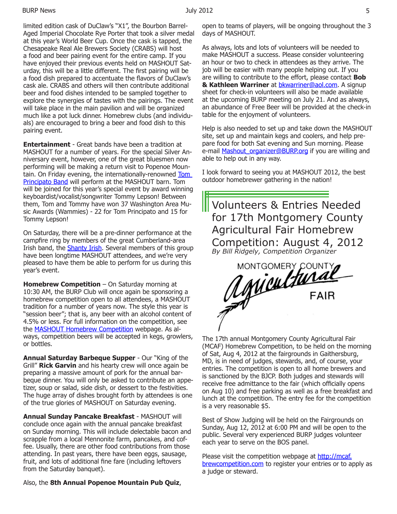limited edition cask of DuClaw's "X1", the Bourbon Barrel-Aged Imperial Chocolate Rye Porter that took a silver medal at this year's World Beer Cup. Once the cask is tapped, the Chesapeake Real Ale Brewers Society (CRABS) will host a food and beer pairing event for the entire camp. If you have enjoyed their previous events held on MASHOUT Saturday, this will be a little different. The first pairing will be a food dish prepared to accentuate the flavors of DuClaw's cask ale. CRABS and others will then contribute additional beer and food dishes intended to be sampled together to explore the synergies of tastes with the pairings. The event will take place in the main pavilion and will be organized much like a pot luck dinner. Homebrew clubs (and individuals) are encouraged to bring a beer and food dish to this pairing event.

**Entertainment** - Great bands have been a tradition at MASHOUT for a number of years. For the special Silver Anniversary event, however, one of the great bluesmen now performing will be making a return visit to Popenoe Mountain. On Friday evening, the internationally-renowned Tom Principato Band will perform at the MASHOUT barn. Tom will be joined for this year's special event by award winning keyboardist/vocalist/songwriter Tommy Lepson! Between them, Tom and Tommy have won 37 Washington Area Music Awards (Wammies) - 22 for Tom Principato and 15 for Tommy Lepson!

On Saturday, there will be a pre-dinner performance at the campfire ring by members of the great Cumberland-area Irish band, the Shanty Irish. Several members of this group have been longtime MASHOUT attendees, and we're very pleased to have them be able to perform for us during this year's event.

**Homebrew Competition** – On Saturday morning at 10:30 AM, the BURP Club will once again be sponsoring a homebrew competition open to all attendees, a MASHOUT tradition for a number of years now. The style this year is "session beer"; that is, any beer with an alcohol content of 4.5% or less. For full information on the competition, see the MASHOUT Homebrew Competition webpage. As always, competition beers will be accepted in kegs, growlers, or bottles.

**Annual Saturday Barbeque Supper** - Our "King of the Grill" **Rick Garvin** and his hearty crew will once again be preparing a massive amount of pork for the annual barbeque dinner. You will only be asked to contribute an appetizer, soup or salad, side dish, or dessert to the festivities. The huge array of dishes brought forth by attendees is one of the true glories of MASHOUT on Saturday evening.

**Annual Sunday Pancake Breakfast** - MASHOUT will conclude once again with the annual pancake breakfast on Sunday morning. This will include delectable bacon and scrapple from a local Mennonite farm, pancakes, and coffee. Usually, there are other food contributions from those attending. In past years, there have been eggs, sausage, fruit, and lots of additional fine fare (including leftovers from the Saturday banquet).

Also, the **8th Annual Popenoe Mountain Pub Quiz**,

open to teams of players, will be ongoing throughout the 3 days of MASHOUT.

As always, lots and lots of volunteers will be needed to make MASHOUT a success. Please consider volunteering an hour or two to check in attendees as they arrive. The job will be easier with many people helping out. If you are willing to contribute to the effort, please contact **Bob**  & Kathleen Warriner at **bkwarriner@aol.com**. A signup sheet for check-in volunteers will also be made available at the upcoming BURP meeting on July 21. And as always, an abundance of Free Beer will be provided at the check-in table for the enjoyment of volunteers.

Help is also needed to set up and take down the MASHOUT site, set up and maintain kegs and coolers, and help prepare food for both Sat evening and Sun morning. Please e-mail Mashout\_organizer@BURP.org if you are willing and able to help out in any way.

I look forward to seeing you at MASHOUT 2012, the best outdoor homebrewer gathering in the nation!





The 17th annual Montgomery County Agricultural Fair (MCAF) Homebrew Competition, to be held on the morning of Sat, Aug 4, 2012 at the fairgrounds in Gaithersburg, MD, is in need of judges, stewards, and, of course, your entries. The competition is open to all home brewers and is sanctioned by the BJCP. Both judges and stewards will receive free admittance to the fair (which officially opens on Aug 10) and free parking as well as a free breakfast and lunch at the competition. The entry fee for the competition is a very reasonable \$5.

Best of Show Judging will be held on the Fairgrounds on Sunday, Aug 12, 2012 at 6:00 PM and will be open to the public. Several very experienced BURP judges volunteer each year to serve on the BOS panel.

Please visit the competition webpage at http://mcaf. brewcompetition.com to register your entries or to apply as a judge or steward.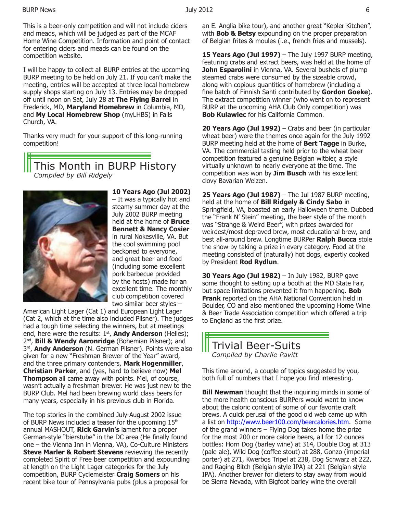This is a beer-only competition and will not include ciders and meads, which will be judged as part of the MCAF Home Wine Competition. Information and point of contact for entering ciders and meads can be found on the competition website.

I will be happy to collect all BURP entries at the upcoming BURP meeting to be held on July 21. If you can't make the meeting, entries will be accepted at three local homebrew supply shops starting on July 13. Entries may be dropped off until noon on Sat, July 28 at **The Flying Barrel** in Frederick, MD, **Maryland Homebrew** in Columbia, MD, and **My Local Homebrew Shop** (myLHBS) in Falls Church, VA.

Thanks very much for your support of this long-running competition!

This Month in BURP History *Compiled by Bill Ridgely*



**10 Years Ago (Jul 2002)**  – It was a typically hot and steamy summer day at the July 2002 BURP meeting held at the home of **Bruce Bennett & Nancy Cosier**  in rural Nokesville, VA. But the cool swimming pool beckoned to everyone, and great beer and food (including some excellent pork barbecue provided by the hosts) made for an excellent time. The monthly club competition covered two similar beer styles –

American Light Lager (Cat 1) and European Light Lager (Cat 2, which at the time also included Pilsner). The judges had a tough time selecting the winners, but at meetings end, here were the results: 1<sup>st</sup>, **Andy Anderson** (Helles); 2nd, **Bill & Wendy Aaronridge** (Bohemian Pilsner); and 3rd, **Andy Anderson** (N. German Pilsner). Points were also given for a new "Freshman Brewer of the Year" award, and the three primary contenders, **Mark Hogenmiller**, **Christian Parker**, and (yes, hard to believe now) **Mel Thompson** all came away with points. Mel, of course, wasn't actually a freshman brewer. He was just new to the BURP Club. Mel had been brewing world class beers for many years, especially in his previous club in Florida.

The top stories in the combined July-August 2002 issue of BURP News included a teaser for the upcoming 15<sup>th</sup> annual MASHOUT, **Rick Garvin's** lament for a proper German-style "bierstube" in the DC area (He finally found one – the Vienna Inn in Vienna, VA), Co-Culture Ministers **Steve Marler & Robert Stevens** reviewing the recently completed Spirit of Free beer competition and expounding at length on the Light Lager categories for the July competition, BURP Cyclemeister **Craig Somers** on his recent bike tour of Pennsylvania pubs (plus a proposal for

an E. Anglia bike tour), and another great "Kepler Kitchen", with **Bob & Betsy** expounding on the proper preparation of Belgian frites & moules (i.e., french fries and mussels).

**15 Years Ago (Jul 1997)** – The July 1997 BURP meeting, featuring crabs and extract beers, was held at the home of **John Esparolini** in Vienna, VA. Several bushels of plump steamed crabs were consumed by the sizeable crowd, along with copious quantities of homebrew (including a fine batch of Finnish Sahti contributed by **Gordon Goeke**). The extract competition winner (who went on to represent BURP at the upcoming AHA Club Only competition) was **Bob Kulawiec** for his California Common.

**20 Years Ago (Jul 1992)** – Crabs and beer (in particular wheat beer) were the themes once again for the July 1992 BURP meeting held at the home of **Bert Tagge** in Burke, VA. The commercial tasting held prior to the wheat beer competition featured a genuine Belgian witbier, a style virtually unknown to nearly everyone at the time. The competition was won by **Jim Busch** with his excellent clovy Bavarian Weizen.

**25 Years Ago (Jul 1987)** – The Jul 1987 BURP meeting, held at the home of **Bill Ridgely & Cindy Sabo** in Springfield, VA, boasted an early Halloween theme. Dubbed the "Frank N' Stein" meeting, the beer style of the month was "Strange & Weird Beer", with prizes awarded for weirdest/most depraved brew, most educational brew, and best all-around brew. Longtime BURPer **Ralph Bucca** stole the show by taking a prize in every category. Food at the meeting consisted of (naturally) hot dogs, expertly cooked by President **Rod Rydlun**.

**30 Years Ago (Jul 1982)** – In July 1982, BURP gave some thought to setting up a booth at the MD State Fair, but space limitations prevented it from happening. **Bob Frank** reported on the AHA National Convention held in Boulder, CO and also mentioned the upcoming Home Wine & Beer Trade Association competition which offered a trip to England as the first prize.

### Trivial Beer-Suits *Compiled by Charlie Pavitt*

This time around, a couple of topics suggested by you, both full of numbers that I hope you find interesting.

**Bill Newman** thought that the inquiring minds in some of the more health conscious BURPers would want to know about the caloric content of some of our favorite craft brews. A quick perusal of the good old web came up with a list on http://www.beer100.com/beercalories.htm. Some of the grand winners – Flying Dog takes home the prize for the most 200 or more calorie beers, all for 12 ounces bottles: Horn Dog (barley wine) at 314, Double Dog at 313 (pale ale), Wild Dog (coffee stout) at 288, Gonzo (imperial porter) at 271, Kwerbos Tripel at 238, Dog Schwarz at 222, and Raging Bitch (Belgian style IPA) at 221 (Belgian style IPA). Another brewer for dieters to stay away from would be Sierra Nevada, with Bigfoot barley wine the overall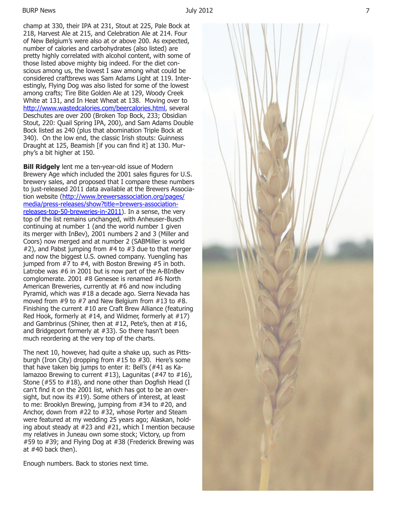#### BURP News July 2012

champ at 330, their IPA at 231, Stout at 225, Pale Bock at 218, Harvest Ale at 215, and Celebration Ale at 214. Four of New Belgium's were also at or above 200. As expected, number of calories and carbohydrates (also listed) are pretty highly correlated with alcohol content, with some of those listed above mighty big indeed. For the diet con scious among us, the lowest I saw among what could be considered craftbrews was Sam Adams Light at 119. Inter estingly, Flying Dog was also listed for some of the lowest among crafts; Tire Bite Golden Ale at 129, Woody Creek White at 131, and In Heat Wheat at 138. Moving over to http://www.wastedcalories.com/beercalories.html, several Deschutes are over 200 (Broken Top Bock, 233; Obsidian Stout, 220: Quail Spring IPA, 200), and Sam Adams Double Bock listed as 240 (plus that abomination Triple Bock at 340). On the low end, the classic Irish stouts: Guinness Draught at 125, Beamish [if you can find it] at 130. Mur phy's a bit higher at 150.

**Bill Ridgely** lent me a ten-year-old issue of Modern Brewery Age which included the 2001 sales figures for U.S. brewery sales, and proposed that I compare these numbers to just-released 2011 data available at the Brewers Associa tion website (http://www.brewersassociation.org/pages/ media/press-releases/show?title=brewers-associationreleases-top-50-breweries-in-2011). In a sense, the very top of the list remains unchanged, with Anheuser-Busch continuing at number 1 (and the world number 1 given its merger with InBev), 2001 numbers 2 and 3 (Miller and Coors) now merged and at number 2 (SABMiller is world #2), and Pabst jumping from #4 to #3 due to that merger and now the biggest U.S. owned company. Yuengling has jumped from #7 to #4, with Boston Brewing #5 in both. Latrobe was #6 in 2001 but is now part of the A-BInBev comglomerate. 2001 #8 Genesee is renamed #6 North American Breweries, currently at #6 and now including Pyramid, which was #18 a decade ago. Sierra Nevada has moved from #9 to #7 and New Belgium from #13 to #8. Finishing the current #10 are Craft Brew Alliance (featuring Red Hook, formerly at #14, and Widmer, formerly at #17) and Gambrinus (Shiner, then at #12, Pete's, then at #16, and Bridgeport formerly at #33). So there hasn't been much reordering at the very top of the charts.

The next 10, however, had quite a shake up, such as Pitts burgh (Iron City) dropping from #15 to #30. Here's some that have taken big jumps to enter it: Bell's (#41 as Ka lamazoo Brewing to current  $\#13$ ), Lagunitas ( $\#47$  to  $\#16$ ), Stone (#55 to #18), and none other than Dogfish Head (I can't find it on the 2001 list, which has got to be an over sight, but now its #19). Some others of interest, at least to me: Brooklyn Brewing, jumping from #34 to #20, and Anchor, down from #22 to #32, whose Porter and Steam were featured at my wedding 25 years ago; Alaskan, hold ing about steady at #23 and #21, which I mention because my relatives in Juneau own some stock; Victory, up from #59 to #39; and Flying Dog at #38 (Frederick Brewing was at #40 back then).

Enough numbers. Back to stories next time.